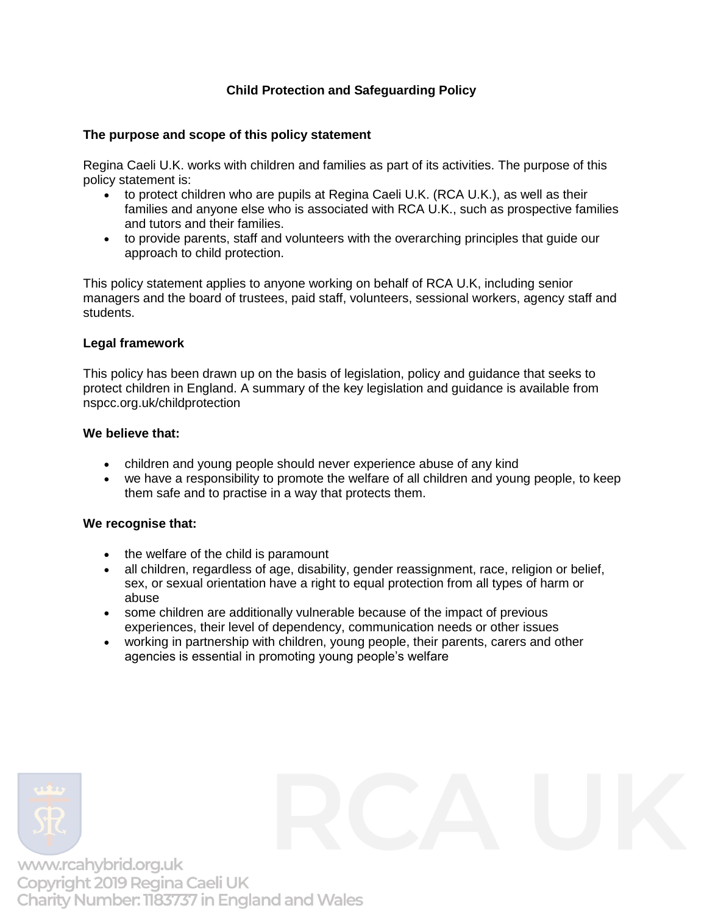# **Child Protection and Safeguarding Policy**

# **The purpose and scope of this policy statement**

Regina Caeli U.K. works with children and families as part of its activities. The purpose of this policy statement is:

- to protect children who are pupils at Regina Caeli U.K. (RCA U.K.), as well as their families and anyone else who is associated with RCA U.K., such as prospective families and tutors and their families.
- to provide parents, staff and volunteers with the overarching principles that guide our approach to child protection.

This policy statement applies to anyone working on behalf of RCA U.K, including senior managers and the board of trustees, paid staff, volunteers, sessional workers, agency staff and students.

# **Legal framework**

This policy has been drawn up on the basis of legislation, policy and guidance that seeks to protect children in England. A summary of the key legislation and guidance is available from nspcc.org.uk/childprotection

### **We believe that:**

- children and young people should never experience abuse of any kind
- we have a responsibility to promote the welfare of all children and young people, to keep them safe and to practise in a way that protects them.

# **We recognise that:**

- the welfare of the child is paramount
- all children, regardless of age, disability, gender reassignment, race, religion or belief, sex, or sexual orientation have a right to equal protection from all types of harm or abuse
- some children are additionally vulnerable because of the impact of previous experiences, their level of dependency, communication needs or other issues
- working in partnership with children, young people, their parents, carers and other agencies is essential in promoting young people's welfare

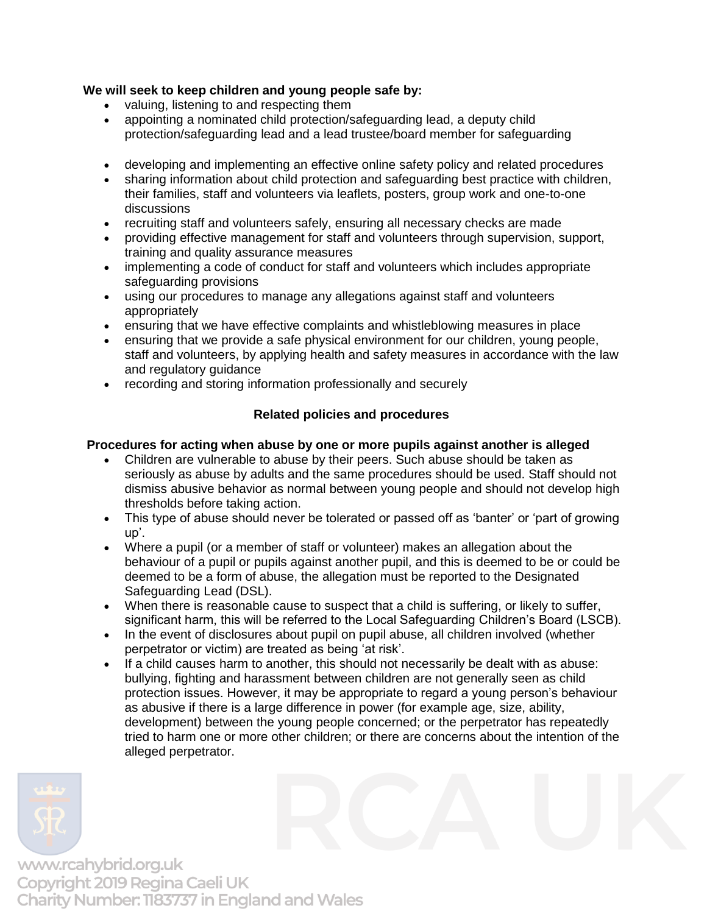# **We will seek to keep children and young people safe by:**

- valuing, listening to and respecting them
- appointing a nominated child protection/safeguarding lead, a deputy child protection/safeguarding lead and a lead trustee/board member for safeguarding
- developing and implementing an effective online safety policy and related procedures
- sharing information about child protection and safeguarding best practice with children, their families, staff and volunteers via leaflets, posters, group work and one-to-one discussions
- recruiting staff and volunteers safely, ensuring all necessary checks are made
- providing effective management for staff and volunteers through supervision, support, training and quality assurance measures
- implementing a code of conduct for staff and volunteers which includes appropriate safeguarding provisions
- using our procedures to manage any allegations against staff and volunteers appropriately
- ensuring that we have effective complaints and whistleblowing measures in place
- ensuring that we provide a safe physical environment for our children, young people, staff and volunteers, by applying health and safety measures in accordance with the law and regulatory guidance
- recording and storing information professionally and securely

# **Related policies and procedures**

# **Procedures for acting when abuse by one or more pupils against another is alleged**

- Children are vulnerable to abuse by their peers. Such abuse should be taken as seriously as abuse by adults and the same procedures should be used. Staff should not dismiss abusive behavior as normal between young people and should not develop high thresholds before taking action.
- This type of abuse should never be tolerated or passed off as 'banter' or 'part of growing up'.
- Where a pupil (or a member of staff or volunteer) makes an allegation about the behaviour of a pupil or pupils against another pupil, and this is deemed to be or could be deemed to be a form of abuse, the allegation must be reported to the Designated Safeguarding Lead (DSL).
- When there is reasonable cause to suspect that a child is suffering, or likely to suffer, significant harm, this will be referred to the Local Safeguarding Children's Board (LSCB).
- In the event of disclosures about pupil on pupil abuse, all children involved (whether perpetrator or victim) are treated as being 'at risk'.
- If a child causes harm to another, this should not necessarily be dealt with as abuse: bullying, fighting and harassment between children are not generally seen as child protection issues. However, it may be appropriate to regard a young person's behaviour as abusive if there is a large difference in power (for example age, size, ability, development) between the young people concerned; or the perpetrator has repeatedly tried to harm one or more other children; or there are concerns about the intention of the alleged perpetrator.

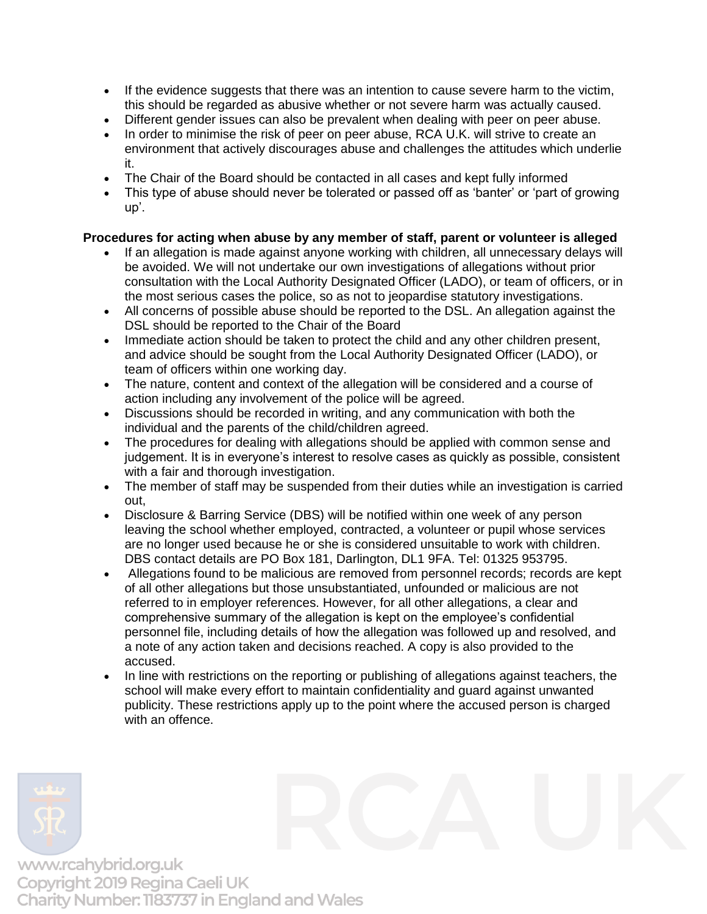- If the evidence suggests that there was an intention to cause severe harm to the victim, this should be regarded as abusive whether or not severe harm was actually caused.
- Different gender issues can also be prevalent when dealing with peer on peer abuse.
- In order to minimise the risk of peer on peer abuse, RCA U.K. will strive to create an environment that actively discourages abuse and challenges the attitudes which underlie it.
- The Chair of the Board should be contacted in all cases and kept fully informed
- This type of abuse should never be tolerated or passed off as 'banter' or 'part of growing up'.

# **Procedures for acting when abuse by any member of staff, parent or volunteer is alleged**

- If an allegation is made against anyone working with children, all unnecessary delays will be avoided. We will not undertake our own investigations of allegations without prior consultation with the Local Authority Designated Officer (LADO), or team of officers, or in the most serious cases the police, so as not to jeopardise statutory investigations.
- All concerns of possible abuse should be reported to the DSL. An allegation against the DSL should be reported to the Chair of the Board
- Immediate action should be taken to protect the child and any other children present, and advice should be sought from the Local Authority Designated Officer (LADO), or team of officers within one working day.
- The nature, content and context of the allegation will be considered and a course of action including any involvement of the police will be agreed.
- Discussions should be recorded in writing, and any communication with both the individual and the parents of the child/children agreed.
- The procedures for dealing with allegations should be applied with common sense and judgement. It is in everyone's interest to resolve cases as quickly as possible, consistent with a fair and thorough investigation.
- The member of staff may be suspended from their duties while an investigation is carried out,
- Disclosure & Barring Service (DBS) will be notified within one week of any person leaving the school whether employed, contracted, a volunteer or pupil whose services are no longer used because he or she is considered unsuitable to work with children. DBS contact details are PO Box 181, Darlington, DL1 9FA. Tel: 01325 953795.
- Allegations found to be malicious are removed from personnel records; records are kept of all other allegations but those unsubstantiated, unfounded or malicious are not referred to in employer references. However, for all other allegations, a clear and comprehensive summary of the allegation is kept on the employee's confidential personnel file, including details of how the allegation was followed up and resolved, and a note of any action taken and decisions reached. A copy is also provided to the accused.
- In line with restrictions on the reporting or publishing of allegations against teachers, the school will make every effort to maintain confidentiality and guard against unwanted publicity. These restrictions apply up to the point where the accused person is charged with an offence.

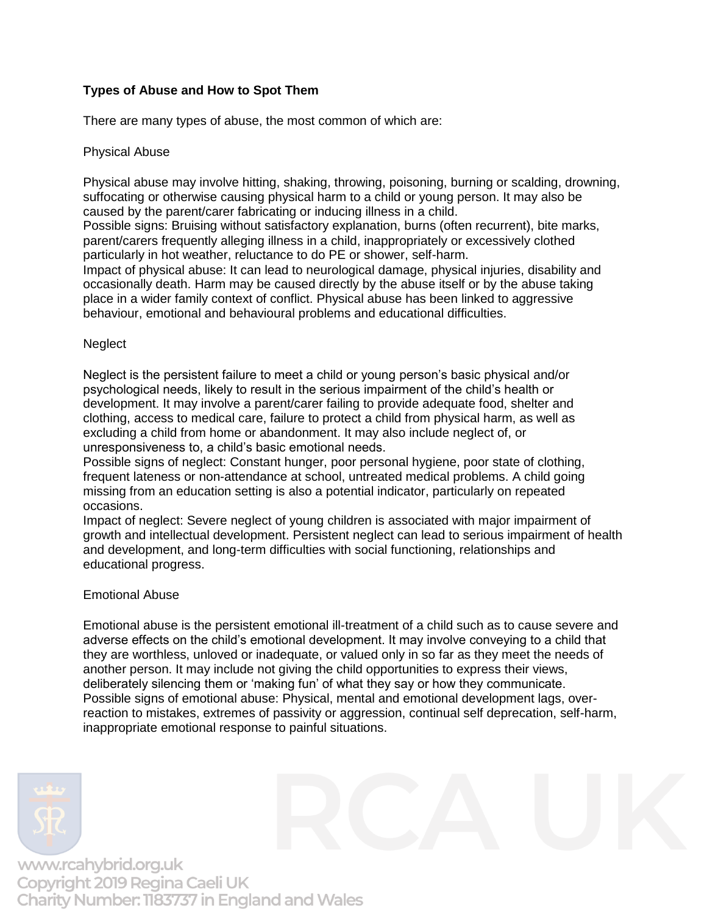# **Types of Abuse and How to Spot Them**

There are many types of abuse, the most common of which are:

# Physical Abuse

Physical abuse may involve hitting, shaking, throwing, poisoning, burning or scalding, drowning, suffocating or otherwise causing physical harm to a child or young person. It may also be caused by the parent/carer fabricating or inducing illness in a child.

Possible signs: Bruising without satisfactory explanation, burns (often recurrent), bite marks, parent/carers frequently alleging illness in a child, inappropriately or excessively clothed particularly in hot weather, reluctance to do PE or shower, self-harm.

Impact of physical abuse: It can lead to neurological damage, physical injuries, disability and occasionally death. Harm may be caused directly by the abuse itself or by the abuse taking place in a wider family context of conflict. Physical abuse has been linked to aggressive behaviour, emotional and behavioural problems and educational difficulties.

# **Neglect**

Neglect is the persistent failure to meet a child or young person's basic physical and/or psychological needs, likely to result in the serious impairment of the child's health or development. It may involve a parent/carer failing to provide adequate food, shelter and clothing, access to medical care, failure to protect a child from physical harm, as well as excluding a child from home or abandonment. It may also include neglect of, or unresponsiveness to, a child's basic emotional needs.

Possible signs of neglect: Constant hunger, poor personal hygiene, poor state of clothing, frequent lateness or non-attendance at school, untreated medical problems. A child going missing from an education setting is also a potential indicator, particularly on repeated occasions.

Impact of neglect: Severe neglect of young children is associated with major impairment of growth and intellectual development. Persistent neglect can lead to serious impairment of health and development, and long-term difficulties with social functioning, relationships and educational progress.

# Emotional Abuse

Emotional abuse is the persistent emotional ill-treatment of a child such as to cause severe and adverse effects on the child's emotional development. It may involve conveying to a child that they are worthless, unloved or inadequate, or valued only in so far as they meet the needs of another person. It may include not giving the child opportunities to express their views, deliberately silencing them or 'making fun' of what they say or how they communicate. Possible signs of emotional abuse: Physical, mental and emotional development lags, overreaction to mistakes, extremes of passivity or aggression, continual self deprecation, self-harm, inappropriate emotional response to painful situations.

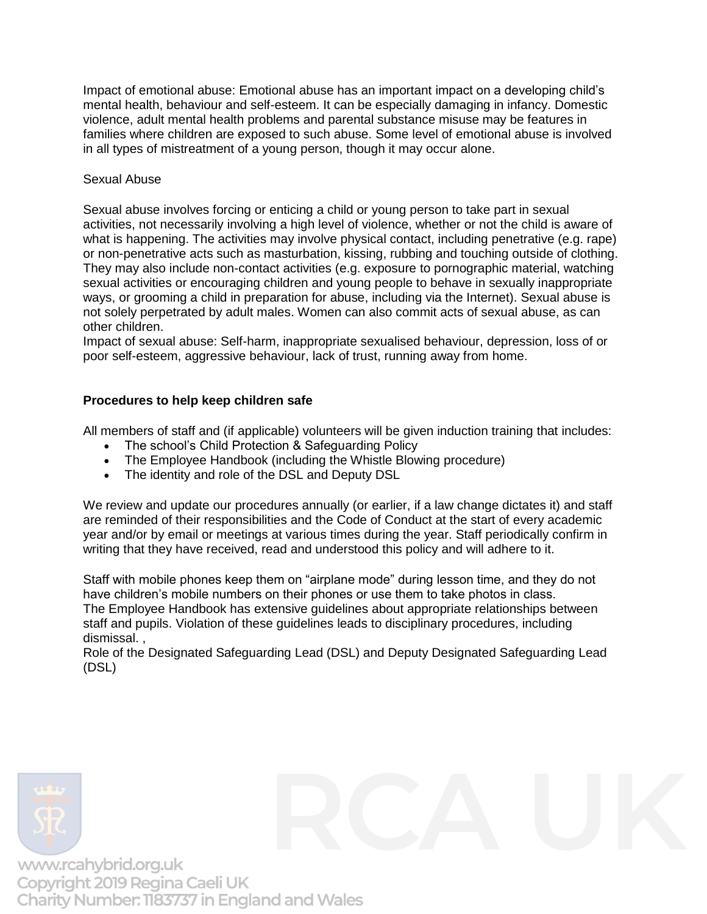Impact of emotional abuse: Emotional abuse has an important impact on a developing child's mental health, behaviour and self-esteem. It can be especially damaging in infancy. Domestic violence, adult mental health problems and parental substance misuse may be features in families where children are exposed to such abuse. Some level of emotional abuse is involved in all types of mistreatment of a young person, though it may occur alone.

### Sexual Abuse

Sexual abuse involves forcing or enticing a child or young person to take part in sexual activities, not necessarily involving a high level of violence, whether or not the child is aware of what is happening. The activities may involve physical contact, including penetrative (e.g. rape) or non-penetrative acts such as masturbation, kissing, rubbing and touching outside of clothing. They may also include non-contact activities (e.g. exposure to pornographic material, watching sexual activities or encouraging children and young people to behave in sexually inappropriate ways, or grooming a child in preparation for abuse, including via the Internet). Sexual abuse is not solely perpetrated by adult males. Women can also commit acts of sexual abuse, as can other children.

Impact of sexual abuse: Self-harm, inappropriate sexualised behaviour, depression, loss of or poor self-esteem, aggressive behaviour, lack of trust, running away from home.

# **Procedures to help keep children safe**

All members of staff and (if applicable) volunteers will be given induction training that includes:

- The school's Child Protection & Safeguarding Policy
- The Employee Handbook (including the Whistle Blowing procedure)
- The identity and role of the DSL and Deputy DSL

We review and update our procedures annually (or earlier, if a law change dictates it) and staff are reminded of their responsibilities and the Code of Conduct at the start of every academic year and/or by email or meetings at various times during the year. Staff periodically confirm in writing that they have received, read and understood this policy and will adhere to it.

Staff with mobile phones keep them on "airplane mode" during lesson time, and they do not have children's mobile numbers on their phones or use them to take photos in class. The Employee Handbook has extensive guidelines about appropriate relationships between staff and pupils. Violation of these guidelines leads to disciplinary procedures, including dismissal. ,

Role of the Designated Safeguarding Lead (DSL) and Deputy Designated Safeguarding Lead (DSL)

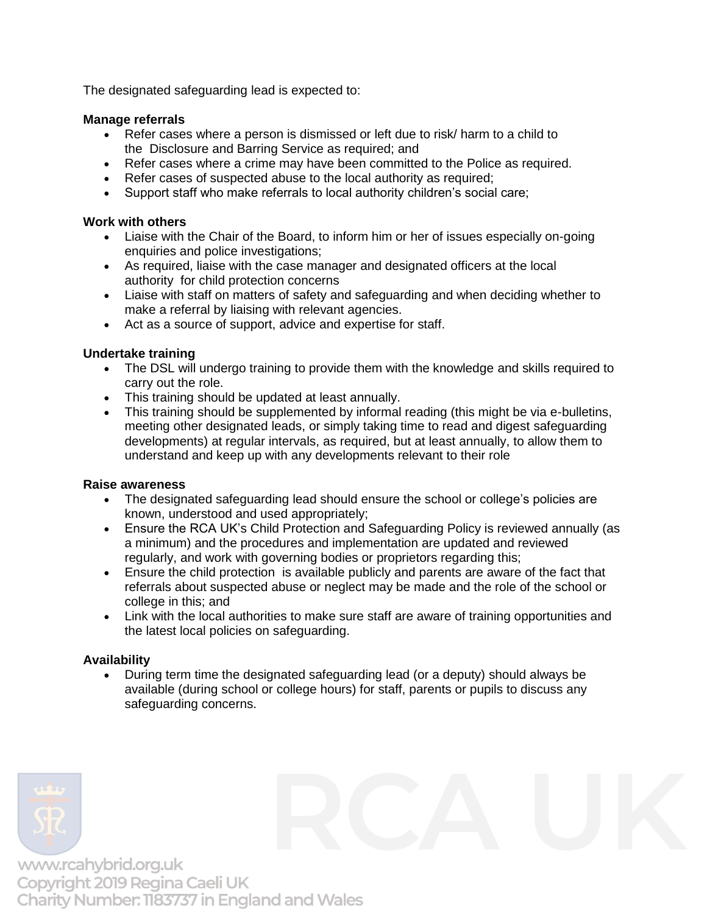The designated safeguarding lead is expected to:

# **Manage referrals**

- Refer cases where a person is dismissed or left due to risk/ harm to a child to the Disclosure and Barring Service as required; and
- Refer cases where a crime may have been committed to the Police as required.
- Refer cases of suspected abuse to the local authority as required;
- Support staff who make referrals to local authority children's social care;

# **Work with others**

- Liaise with the Chair of the Board, to inform him or her of issues especially on-going enquiries and police investigations;
- As required, liaise with the case manager and designated officers at the local authority for child protection concerns
- Liaise with staff on matters of safety and safeguarding and when deciding whether to make a referral by liaising with relevant agencies.
- Act as a source of support, advice and expertise for staff.

# **Undertake training**

- The DSL will undergo training to provide them with the knowledge and skills required to carry out the role.
- This training should be updated at least annually.
- This training should be supplemented by informal reading (this might be via e-bulletins, meeting other designated leads, or simply taking time to read and digest safeguarding developments) at regular intervals, as required, but at least annually, to allow them to understand and keep up with any developments relevant to their role

# **Raise awareness**

- The designated safeguarding lead should ensure the school or college's policies are known, understood and used appropriately;
- Ensure the RCA UK's Child Protection and Safeguarding Policy is reviewed annually (as a minimum) and the procedures and implementation are updated and reviewed regularly, and work with governing bodies or proprietors regarding this;
- Ensure the child protection is available publicly and parents are aware of the fact that referrals about suspected abuse or neglect may be made and the role of the school or college in this; and
- Link with the local authorities to make sure staff are aware of training opportunities and the latest local policies on safeguarding.

# **Availability**

• During term time the designated safeguarding lead (or a deputy) should always be available (during school or college hours) for staff, parents or pupils to discuss any safeguarding concerns.

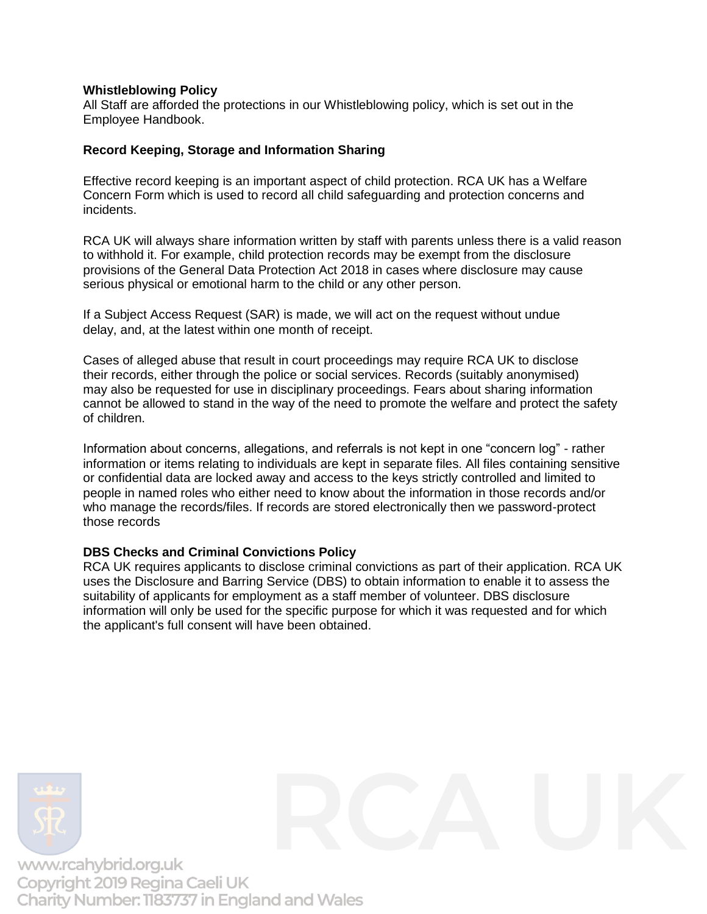# **Whistleblowing Policy**

All Staff are afforded the protections in our Whistleblowing policy, which is set out in the Employee Handbook.

### **Record Keeping, Storage and Information Sharing**

Effective record keeping is an important aspect of child protection. RCA UK has a Welfare Concern Form which is used to record all child safeguarding and protection concerns and incidents.

RCA UK will always share information written by staff with parents unless there is a valid reason to withhold it. For example, child protection records may be exempt from the disclosure provisions of the General Data Protection Act 2018 in cases where disclosure may cause serious physical or emotional harm to the child or any other person.

If a Subject Access Request (SAR) is made, we will act on the request without undue delay, and, at the latest within one month of receipt.

Cases of alleged abuse that result in court proceedings may require RCA UK to disclose their records, either through the police or social services. Records (suitably anonymised) may also be requested for use in disciplinary proceedings. Fears about sharing information cannot be allowed to stand in the way of the need to promote the welfare and protect the safety of children.

Information about concerns, allegations, and referrals is not kept in one "concern log" - rather information or items relating to individuals are kept in separate files. All files containing sensitive or confidential data are locked away and access to the keys strictly controlled and limited to people in named roles who either need to know about the information in those records and/or who manage the records/files. If records are stored electronically then we password-protect those records

### **DBS Checks and Criminal Convictions Policy**

RCA UK requires applicants to disclose criminal convictions as part of their application. RCA UK uses the Disclosure and Barring Service (DBS) to obtain information to enable it to assess the suitability of applicants for employment as a staff member of volunteer. DBS disclosure information will only be used for the specific purpose for which it was requested and for which the applicant's full consent will have been obtained.

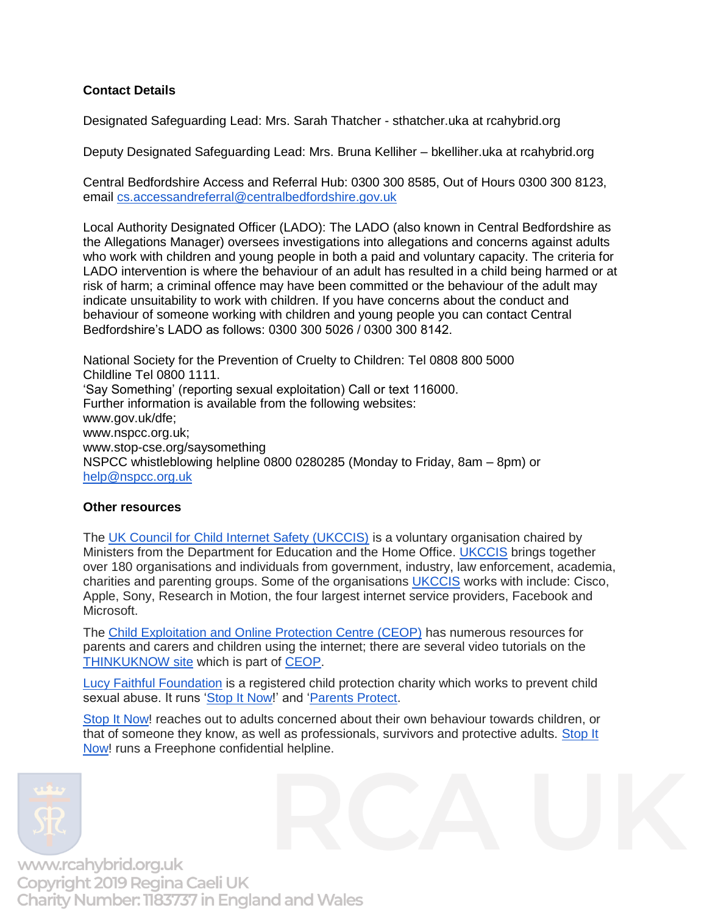# **Contact Details**

Designated Safeguarding Lead: Mrs. Sarah Thatcher - sthatcher.uka at rcahybrid.org

Deputy Designated Safeguarding Lead: Mrs. Bruna Kelliher – bkelliher.uka at rcahybrid.org

Central Bedfordshire Access and Referral Hub: 0300 300 8585, Out of Hours 0300 300 8123, email [cs.accessandreferral@centralbedfordshire.gov.uk](mailto:cs.accessandreferral@centralbedfordshire.gov.uk)

Local Authority Designated Officer (LADO): The LADO (also known in Central Bedfordshire as the Allegations Manager) oversees investigations into allegations and concerns against adults who work with children and young people in both a paid and voluntary capacity. The criteria for LADO intervention is where the behaviour of an adult has resulted in a child being harmed or at risk of harm; a criminal offence may have been committed or the behaviour of the adult may indicate unsuitability to work with children. If you have concerns about the conduct and behaviour of someone working with children and young people you can contact Central Bedfordshire's LADO as follows: 0300 300 5026 / 0300 300 8142.

National Society for the Prevention of Cruelty to Children: Tel 0808 800 5000 Childline Tel 0800 1111. 'Say Something' (reporting sexual exploitation) Call or text 116000. Further information is available from the following websites: www.gov.uk/dfe; www.nspcc.org.uk; www.stop-cse.org/saysomething NSPCC whistleblowing helpline 0800 0280285 (Monday to Friday, 8am – 8pm) or [help@nspcc.org.uk](mailto:help@nspcc.org.uk)

#### **Other resources**

The [UK Council for Child Internet Safety \(UKCCIS\)](https://www.gov.uk/government/groups/uk-council-for-child-internet-safety-ukccis) is a voluntary organisation chaired by Ministers from the Department for Education and the Home Office. [UKCCIS](https://www.gov.uk/government/groups/uk-council-for-child-internet-safety-ukccis) brings together over 180 organisations and individuals from government, industry, law enforcement, academia, charities and parenting groups. Some of the organisations [UKCCIS](https://www.gov.uk/government/groups/uk-council-for-child-internet-safety-ukccis) works with include: Cisco, Apple, Sony, Research in Motion, the four largest internet service providers, Facebook and Microsoft.

The [Child Exploitation and Online Protection Centre \(CEOP\)](http://www.ceop.police.uk/) has numerous resources for parents and carers and children using the internet; there are several video tutorials on the [THINKUKNOW site](http://www.thinkuknow.co.uk/) which is part of [CEOP.](http://www.ceop.police.uk/)

[Lucy Faithful Foundation](http://www.lucyfaithfull.org.uk/) is a registered child protection charity which works to prevent child sexual abuse. It runs ['Stop It Now!](http://www.stopitnow.org.uk/)' and ['Parents Protect.](http://www.parentsprotect.co.uk/)

[Stop It Now!](http://www.stopitnow.org.uk/) reaches out to adults concerned about their own behaviour towards children, or that of someone they know, as well as professionals, survivors and protective adults. [Stop It](http://www.stopitnow.org.uk/)  [Now!](http://www.stopitnow.org.uk/) runs a Freephone confidential helpline.